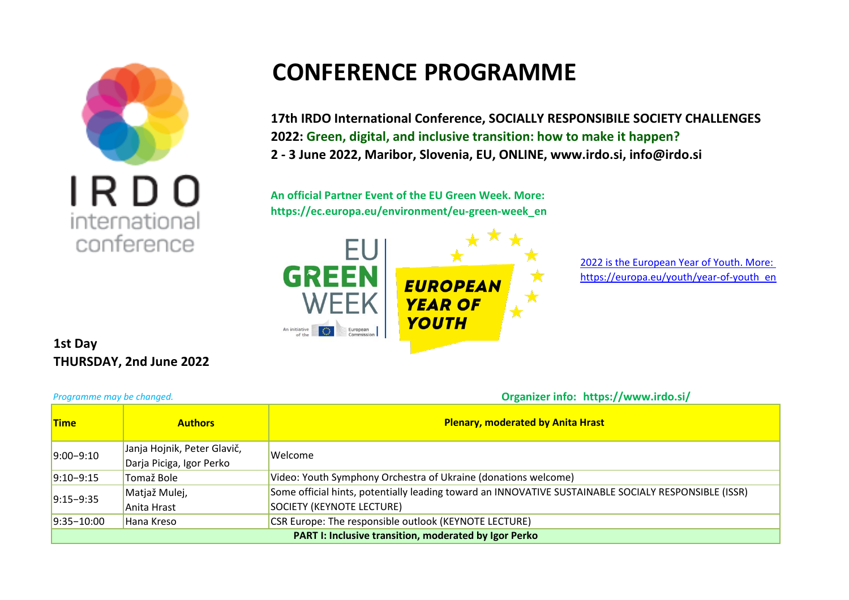

## **CONFERENCE PROGRAMME**

**17th IRDO International Conference, SOCIALLY RESPONSIBILE SOCIETY CHALLENGES 2022: Green, digital, and inclusive transition: how to make it happen? 2 - 3 June 2022, Maribor, Slovenia, EU, ONLINE, www.irdo.si, info@irdo.si**

**An official Partner Event of the EU Green Week. More: https://ec.europa.eu/environment/eu-green-week\_en** 



2022 is the European Year of Youth. More: https://europa.eu/youth/year-of-youth\_en

**1st Day THURSDAY, 2nd June 2022**

*Programme may be changed.* **Organizer info: https://www.irdo.si/** 

| <b>Time</b>                                                  | <b>Authors</b>              | <b>Plenary, moderated by Anita Hrast</b>                                                             |  |
|--------------------------------------------------------------|-----------------------------|------------------------------------------------------------------------------------------------------|--|
| $9:00 - 9:10$                                                | Janja Hojnik, Peter Glavič, | Welcome                                                                                              |  |
|                                                              | Darja Piciga, Igor Perko    |                                                                                                      |  |
| $ 9:10-9:15$                                                 | Tomaž Bole                  | Video: Youth Symphony Orchestra of Ukraine (donations welcome)                                       |  |
| $9:15 - 9:35$                                                | Matjaž Mulej,               | Some official hints, potentially leading toward an INNOVATIVE SUSTAINABLE SOCIALY RESPONSIBLE (ISSR) |  |
|                                                              | Anita Hrast                 | SOCIETY (KEYNOTE LECTURE)                                                                            |  |
| $9:35 - 10:00$                                               | Hana Kreso                  | CSR Europe: The responsible outlook (KEYNOTE LECTURE)                                                |  |
| <b>PART I: Inclusive transition, moderated by Igor Perko</b> |                             |                                                                                                      |  |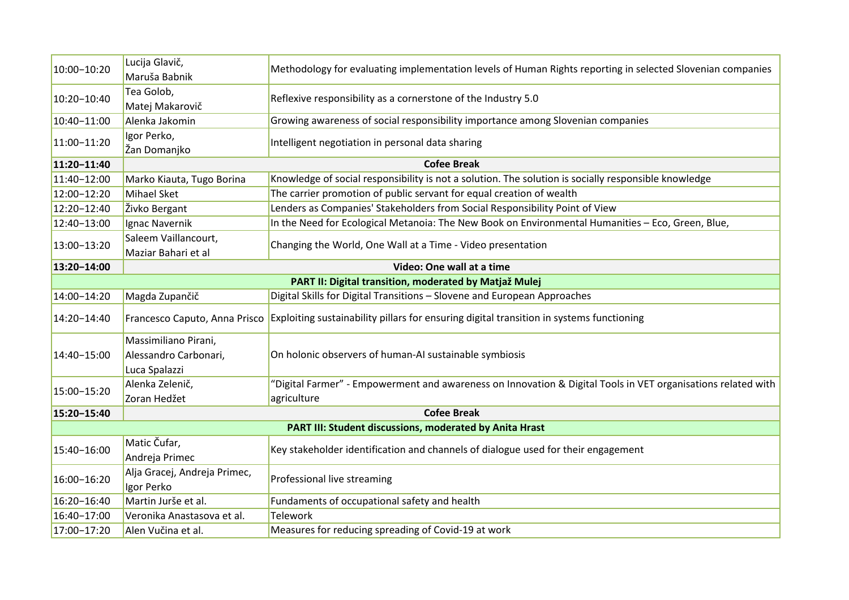| 10:00-10:20                                             | Lucija Glavič,<br>Maruša Babnik                                | Methodology for evaluating implementation levels of Human Rights reporting in selected Slovenian companies   |  |  |
|---------------------------------------------------------|----------------------------------------------------------------|--------------------------------------------------------------------------------------------------------------|--|--|
| 10:20-10:40                                             | Tea Golob,<br>Matej Makarovič                                  | Reflexive responsibility as a cornerstone of the Industry 5.0                                                |  |  |
| 10:40-11:00                                             | Alenka Jakomin                                                 | Growing awareness of social responsibility importance among Slovenian companies                              |  |  |
| 11:00-11:20                                             | Igor Perko,<br>Žan Domanjko                                    | Intelligent negotiation in personal data sharing                                                             |  |  |
| 11:20-11:40                                             | <b>Cofee Break</b>                                             |                                                                                                              |  |  |
| 11:40-12:00                                             | Marko Kiauta, Tugo Borina                                      | Knowledge of social responsibility is not a solution. The solution is socially responsible knowledge         |  |  |
| 12:00-12:20                                             | Mihael Sket                                                    | The carrier promotion of public servant for equal creation of wealth                                         |  |  |
| 12:20-12:40                                             | Živko Bergant                                                  | Lenders as Companies' Stakeholders from Social Responsibility Point of View                                  |  |  |
| 12:40-13:00                                             | Ignac Navernik                                                 | In the Need for Ecological Metanoia: The New Book on Environmental Humanities - Eco, Green, Blue,            |  |  |
| 13:00-13:20                                             | Saleem Vaillancourt,<br>Maziar Bahari et al                    | Changing the World, One Wall at a Time - Video presentation                                                  |  |  |
| 13:20-14:00                                             |                                                                | Video: One wall at a time                                                                                    |  |  |
| PART II: Digital transition, moderated by Matjaž Mulej  |                                                                |                                                                                                              |  |  |
| 14:00-14:20                                             | Magda Zupančič                                                 | Digital Skills for Digital Transitions - Slovene and European Approaches                                     |  |  |
| 14:20-14:40                                             | Francesco Caputo, Anna Prisco                                  | Exploiting sustainability pillars for ensuring digital transition in systems functioning                     |  |  |
| 14:40-15:00                                             | Massimiliano Pirani,<br>Alessandro Carbonari,<br>Luca Spalazzi | On holonic observers of human-AI sustainable symbiosis                                                       |  |  |
| 15:00-15:20                                             | Alenka Zelenič,                                                | "Digital Farmer" - Empowerment and awareness on Innovation & Digital Tools in VET organisations related with |  |  |
|                                                         | Zoran Hedžet                                                   | agriculture                                                                                                  |  |  |
| 15:20-15:40                                             |                                                                | <b>Cofee Break</b>                                                                                           |  |  |
| PART III: Student discussions, moderated by Anita Hrast |                                                                |                                                                                                              |  |  |
| 15:40-16:00                                             | Matic Čufar,<br>Andreja Primec                                 | Key stakeholder identification and channels of dialogue used for their engagement                            |  |  |
| 16:00-16:20                                             | Alja Gracej, Andreja Primec,<br>Igor Perko                     | Professional live streaming                                                                                  |  |  |
| 16:20-16:40                                             | Martin Jurše et al.                                            | Fundaments of occupational safety and health                                                                 |  |  |
| 16:40-17:00                                             | Veronika Anastasova et al.                                     | Telework                                                                                                     |  |  |
| 17:00-17:20                                             | Alen Vučina et al.                                             | Measures for reducing spreading of Covid-19 at work                                                          |  |  |